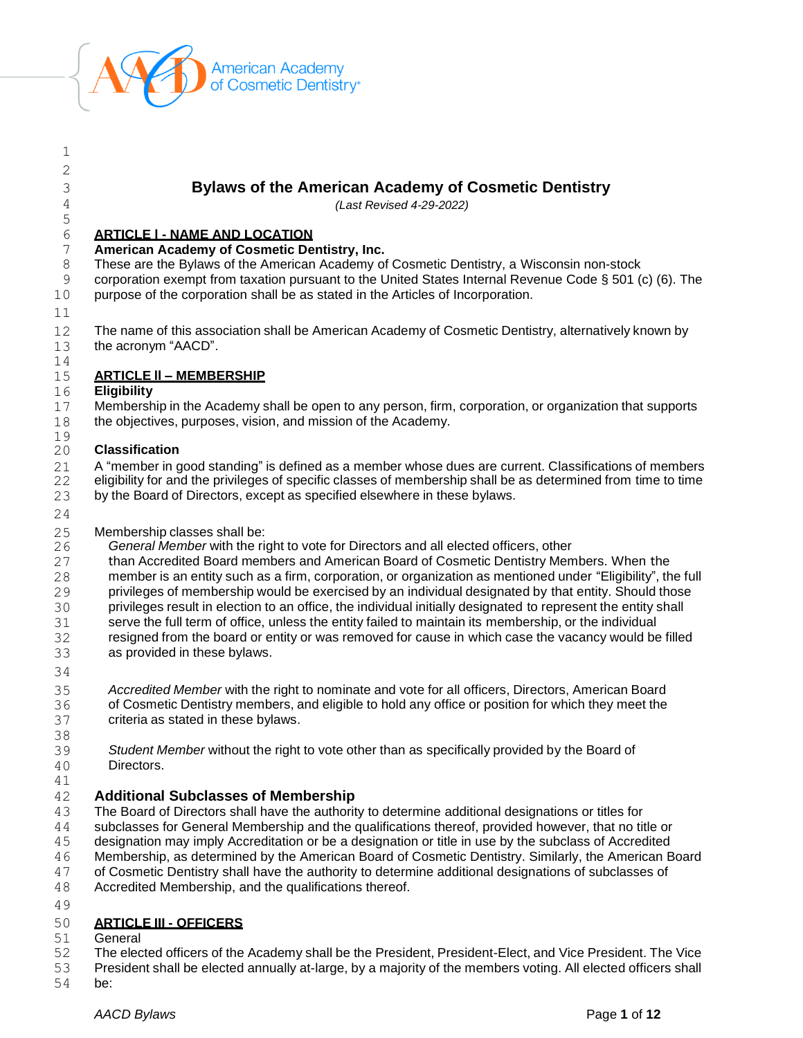

# **Bylaws of the American Academy of Cosmetic Dentistry**

*(Last Revised 4-29-2022)*

### **ARTICLE l - NAME AND LOCATION**

**American Academy of Cosmetic Dentistry, Inc.**

These are the Bylaws of the American Academy of Cosmetic Dentistry, a Wisconsin non-stock

 corporation exempt from taxation pursuant to the United States Internal Revenue Code § 501 (c) (6). The purpose of the corporation shall be as stated in the Articles of Incorporation.

 

 The name of this association shall be American Academy of Cosmetic Dentistry, alternatively known by the acronym "AACD".

## **ARTICLE ll – MEMBERSHIP**

### **Eligibility**

 Membership in the Academy shall be open to any person, firm, corporation, or organization that supports the objectives, purposes, vision, and mission of the Academy.

#### $\frac{19}{20}$ **Classification**

21 A "member in good standing" is defined as a member whose dues are current. Classifications of members 22 eligibility for and the privileges of specific classes of membership shall be as determined from time to time 23 by the Board of Directors, except as specified elsewhere in these bylaws.

25 Membership classes shall be:<br>26 General Member with the right

*General Member* with the right to vote for Directors and all elected officers, other

than Accredited Board members and American Board of Cosmetic Dentistry Members. When the

member is an entity such as a firm, corporation, or organization as mentioned under "Eligibility", the full

privileges of membership would be exercised by an individual designated by that entity. Should those

privileges result in election to an office, the individual initially designated to represent the entity shall

serve the full term of office, unless the entity failed to maintain its membership, or the individual

 resigned from the board or entity or was removed for cause in which case the vacancy would be filled as provided in these bylaws.

 *Accredited Member* with the right to nominate and vote for all officers, Directors, American Board of Cosmetic Dentistry members, and eligible to hold any office or position for which they meet the criteria as stated in these bylaws.

*Student Member* without the right to vote other than as specifically provided by the Board of

Directors.

# 

# **Additional Subclasses of Membership**

The Board of Directors shall have the authority to determine additional designations or titles for

subclasses for General Membership and the qualifications thereof, provided however, that no title or

designation may imply Accreditation or be a designation or title in use by the subclass of Accredited

Membership, as determined by the American Board of Cosmetic Dentistry. Similarly, the American Board

of Cosmetic Dentistry shall have the authority to determine additional designations of subclasses of

- Accredited Membership, and the qualifications thereof.
- 

### **ARTICLE III - OFFICERS**

General

The elected officers of the Academy shall be the President, President-Elect, and Vice President. The Vice

President shall be elected annually at-large, by a majority of the members voting. All elected officers shall

be: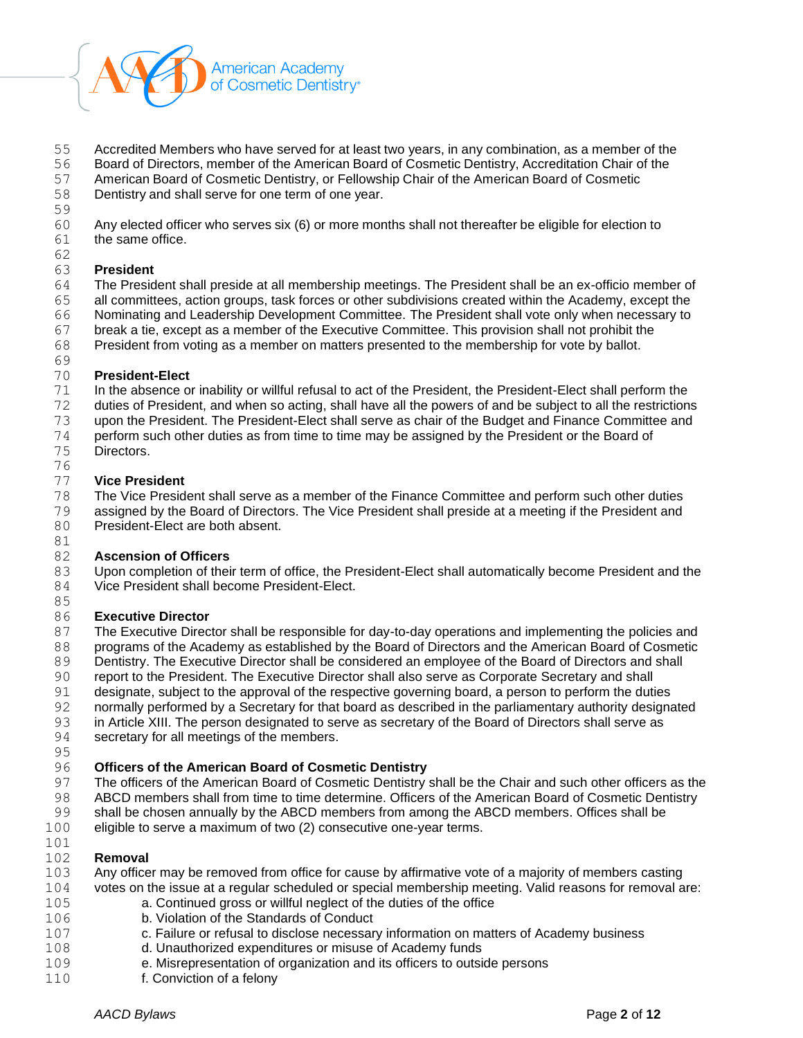

Accredited Members who have served for at least two years, in any combination, as a member of the

Board of Directors, member of the American Board of Cosmetic Dentistry, Accreditation Chair of the

American Board of Cosmetic Dentistry, or Fellowship Chair of the American Board of Cosmetic

Dentistry and shall serve for one term of one year.

Any elected officer who serves six (6) or more months shall not thereafter be eligible for election to

 the same office. 

## **President**

 The President shall preside at all membership meetings. The President shall be an ex-officio member of all committees, action groups, task forces or other subdivisions created within the Academy, except the Nominating and Leadership Development Committee. The President shall vote only when necessary to break a tie, except as a member of the Executive Committee. This provision shall not prohibit the

President from voting as a member on matters presented to the membership for vote by ballot.

# **President-Elect**

In the absence or inability or willful refusal to act of the President, the President-Elect shall perform the

- duties of President, and when so acting, shall have all the powers of and be subject to all the restrictions
- upon the President. The President-Elect shall serve as chair of the Budget and Finance Committee and
- perform such other duties as from time to time may be assigned by the President or the Board of
- Directors.

#### **Vice President**

The Vice President shall serve as a member of the Finance Committee and perform such other duties

- assigned by the Board of Directors. The Vice President shall preside at a meeting if the President and
- President-Elect are both absent.

# **Ascension of Officers**

 Upon completion of their term of office, the President-Elect shall automatically become President and the Vice President shall become President-Elect.

#### **Executive Director**

 The Executive Director shall be responsible for day-to-day operations and implementing the policies and programs of the Academy as established by the Board of Directors and the American Board of Cosmetic 89 Dentistry. The Executive Director shall be considered an employee of the Board of Directors and shall

- report to the President. The Executive Director shall also serve as Corporate Secretary and shall
- designate, subject to the approval of the respective governing board, a person to perform the duties
- normally performed by a Secretary for that board as described in the parliamentary authority designated
- in Article XIII. The person designated to serve as secretary of the Board of Directors shall serve as
- secretary for all meetings of the members.
- 

# **Officers of the American Board of Cosmetic Dentistry**

- The officers of the American Board of Cosmetic Dentistry shall be the Chair and such other officers as the ABCD members shall from time to time determine. Officers of the American Board of Cosmetic Dentistry
- shall be chosen annually by the ABCD members from among the ABCD members. Offices shall be
- eligible to serve a maximum of two (2) consecutive one-year terms.

### **Removal**

- Any officer may be removed from office for cause by affirmative vote of a majority of members casting votes on the issue at a regular scheduled or special membership meeting. Valid reasons for removal are:
- a. Continued gross or willful neglect of the duties of the office
- b. Violation of the Standards of Conduct
- c. Failure or refusal to disclose necessary information on matters of Academy business
- d. Unauthorized expenditures or misuse of Academy funds
- e. Misrepresentation of organization and its officers to outside persons
- f. Conviction of a felony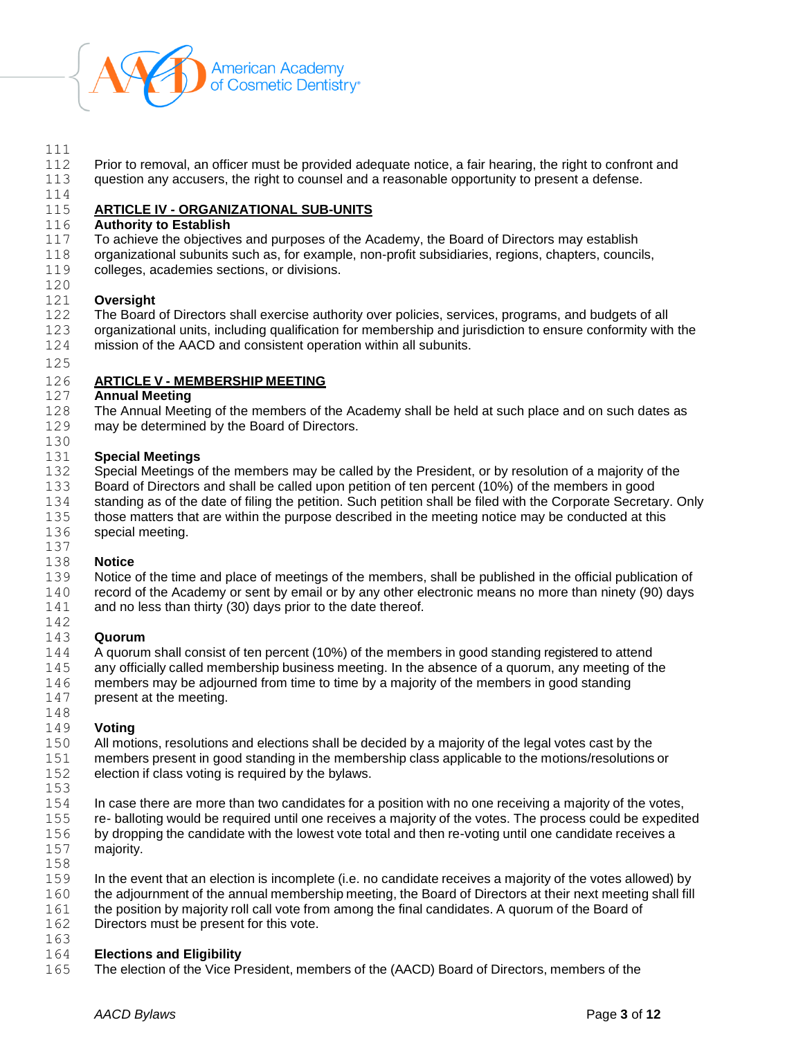

### 

Prior to removal, an officer must be provided adequate notice, a fair hearing, the right to confront and

- 113 question any accusers, the right to counsel and a reasonable opportunity to present a defense.
- 

## **ARTICLE IV - ORGANIZATIONAL SUB-UNITS**

### **Authority to Establish**

- To achieve the objectives and purposes of the Academy, the Board of Directors may establish
- organizational subunits such as, for example, non-profit subsidiaries, regions, chapters, councils,
- colleges, academies sections, or divisions.

### **Oversight**

- The Board of Directors shall exercise authority over policies, services, programs, and budgets of all
- organizational units, including qualification for membership and jurisdiction to ensure conformity with the mission of the AACD and consistent operation within all subunits.
- 

## **ARTICLE V - MEMBERSHIP MEETING**

### **Annual Meeting**

 The Annual Meeting of the members of the Academy shall be held at such place and on such dates as may be determined by the Board of Directors.

### **Special Meetings**

- 132 Special Meetings of the members may be called by the President, or by resolution of a majority of the
- Board of Directors and shall be called upon petition of ten percent (10%) of the members in good
- standing as of the date of filing the petition. Such petition shall be filed with the Corporate Secretary. Only
- those matters that are within the purpose described in the meeting notice may be conducted at this special meeting.
- 

### **Notice**

 Notice of the time and place of meetings of the members, shall be published in the official publication of 140 record of the Academy or sent by email or by any other electronic means no more than ninety (90) days 141 and no less than thirty (30) days prior to the date thereof.

#### **Quorum**

- A quorum shall consist of ten percent (10%) of the members in good standing registered to attend
- any officially called membership business meeting. In the absence of a quorum, any meeting of the
- members may be adjourned from time to time by a majority of the members in good standing
- present at the meeting.

# **Voting**

- All motions, resolutions and elections shall be decided by a majority of the legal votes cast by the members present in good standing in the membership class applicable to the motions/resolutions or election if class voting is required by the bylaws.
- 
- In case there are more than two candidates for a position with no one receiving a majority of the votes, re- balloting would be required until one receives a majority of the votes. The process could be expedited by dropping the candidate with the lowest vote total and then re-voting until one candidate receives a majority.
- 
- In the event that an election is incomplete (i.e. no candidate receives a majority of the votes allowed) by
- 160 the adjournment of the annual membership meeting, the Board of Directors at their next meeting shall fill
- 161 the position by majority roll call vote from among the final candidates. A quorum of the Board of
- Directors must be present for this vote.
- 

# **Elections and Eligibility**

The election of the Vice President, members of the (AACD) Board of Directors, members of the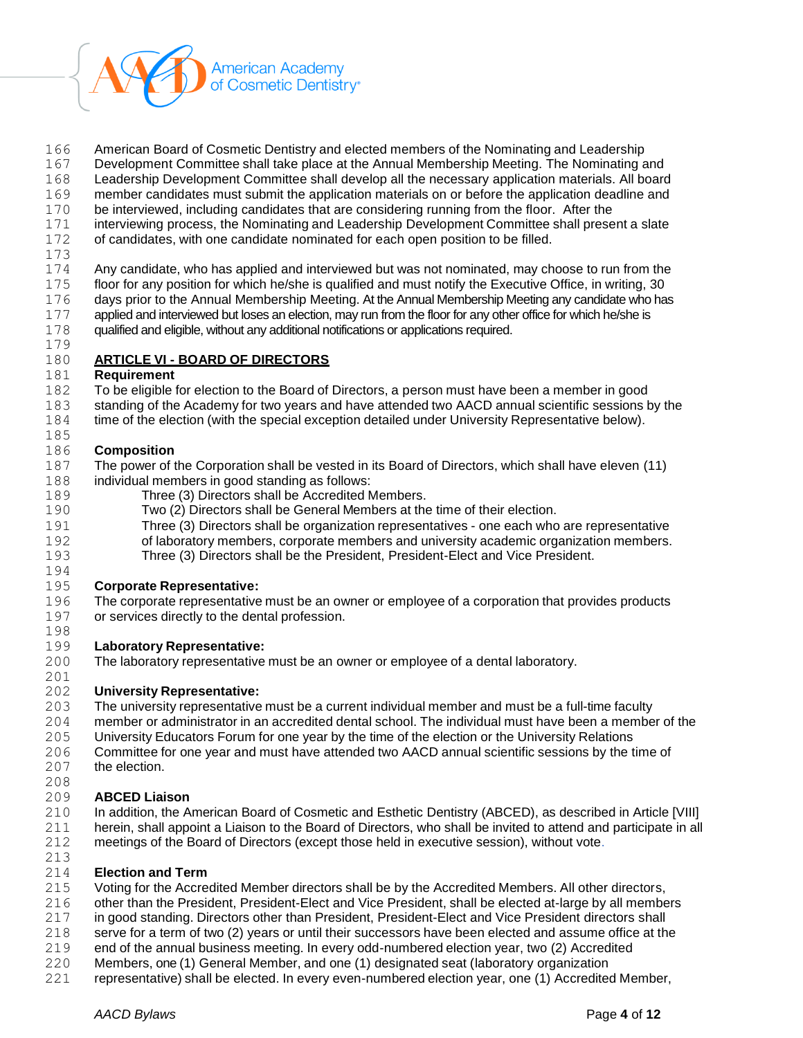

- American Board of Cosmetic Dentistry and elected members of the Nominating and Leadership
- Development Committee shall take place at the Annual Membership Meeting. The Nominating and
- Leadership Development Committee shall develop all the necessary application materials. All board
- member candidates must submit the application materials on or before the application deadline and
- be interviewed, including candidates that are considering running from the floor. After the
- interviewing process, the Nominating and Leadership Development Committee shall present a slate
- of candidates, with one candidate nominated for each open position to be filled.
- 

 Any candidate, who has applied and interviewed but was not nominated, may choose to run from the 175 floor for any position for which he/she is qualified and must notify the Executive Office, in writing, 30<br>176 davs prior to the Annual Membership Meeting. At the Annual Membership Meeting any candidate who ha days prior to the Annual Membership Meeting. At the Annual Membership Meeting any candidate who has applied and interviewed but loses an election, may run from the floor for any other office for which he/she is

 qualified and eligible, without any additional notifications or applications required. 

### **ARTICLE VI - BOARD OF DIRECTORS**

### **Requirement**

- To be eligible for election to the Board of Directors, a person must have been a member in good
- standing of the Academy for two years and have attended two AACD annual scientific sessions by the
- 184 time of the election (with the special exception detailed under University Representative below).

### **Composition**

- The power of the Corporation shall be vested in its Board of Directors, which shall have eleven (11) individual members in good standing as follows:
- Three (3) Directors shall be Accredited Members.
- Two (2) Directors shall be General Members at the time of their election.
- Three (3) Directors shall be organization representatives one each who are representative of laboratory members, corporate members and university academic organization members.
- Three (3) Directors shall be the President, President-Elect and Vice President.

#### **Corporate Representative:**

 The corporate representative must be an owner or employee of a corporation that provides products or services directly to the dental profession.

### **Laboratory Representative:**

The laboratory representative must be an owner or employee of a dental laboratory.

# 

- **University Representative:**
- The university representative must be a current individual member and must be a full-time faculty
- member or administrator in an accredited dental school. The individual must have been a member of the
- University Educators Forum for one year by the time of the election or the University Relations
- Committee for one year and must have attended two AACD annual scientific sessions by the time of the election.
- 

### **ABCED Liaison**

- In addition, the American Board of Cosmetic and Esthetic Dentistry (ABCED), as described in Article [VIII] herein, shall appoint a Liaison to the Board of Directors, who shall be invited to attend and participate in all meetings of the Board of Directors (except those held in executive session), without vote.
- 

### **Election and Term**

- Voting for the Accredited Member directors shall be by the Accredited Members. All other directors,
- other than the President, President-Elect and Vice President, shall be elected at-large by all members
- in good standing. Directors other than President, President-Elect and Vice President directors shall
- serve for a term of two (2) years or until their successors have been elected and assume office at the
- end of the annual business meeting. In every odd-numbered election year, two (2) Accredited
- Members, one (1) General Member, and one (1) designated seat (laboratory organization
- representative) shall be elected. In every even-numbered election year, one (1) Accredited Member,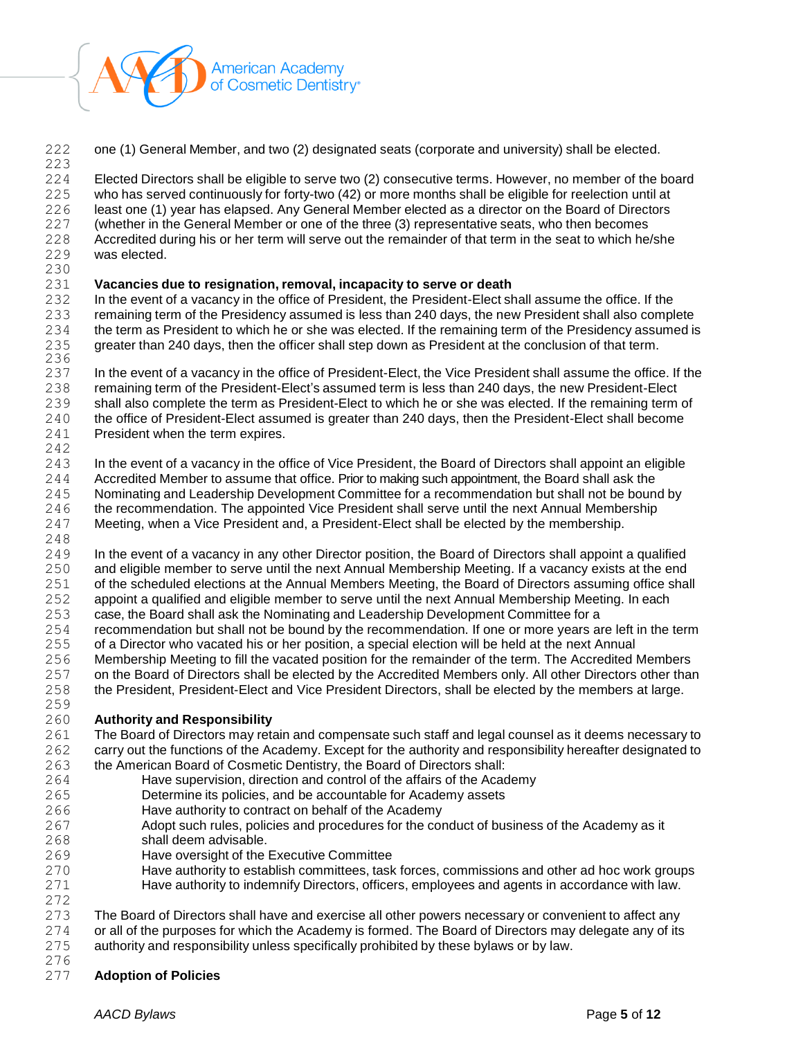

one (1) General Member, and two (2) designated seats (corporate and university) shall be elected.

 Elected Directors shall be eligible to serve two (2) consecutive terms. However, no member of the board who has served continuously for forty-two (42) or more months shall be eligible for reelection until at least one (1) year has elapsed. Any General Member elected as a director on the Board of Directors (whether in the General Member or one of the three (3) representative seats, who then becomes Accredited during his or her term will serve out the remainder of that term in the seat to which he/she was elected.

 **Vacancies due to resignation, removal, incapacity to serve or death**

 In the event of a vacancy in the office of President, the President-Elect shall assume the office. If the remaining term of the Presidency assumed is less than 240 days, the new President shall also complete the term as President to which he or she was elected. If the remaining term of the Presidency assumed is greater than 240 days, then the officer shall step down as President at the conclusion of that term. 

 In the event of a vacancy in the office of President-Elect, the Vice President shall assume the office. If the remaining term of the President-Elect's assumed term is less than 240 days, the new President-Elect shall also complete the term as President-Elect to which he or she was elected. If the remaining term of the office of President-Elect assumed is greater than 240 days, then the President-Elect shall become President when the term expires.

 243 In the event of a vacancy in the office of Vice President, the Board of Directors shall appoint an eligible Accredited Member to assume that office. Prior to making such appointment, the Board shall ask the Nominating and Leadership Development Committee for a recommendation but shall not be bound by 246 the recommendation. The appointed Vice President shall serve until the next Annual Membership Meeting, when a Vice President and, a President-Elect shall be elected by the membership. 

- In the event of a vacancy in any other Director position, the Board of Directors shall appoint a qualified and eligible member to serve until the next Annual Membership Meeting. If a vacancy exists at the end 251 of the scheduled elections at the Annual Members Meeting, the Board of Directors assuming office shall
- appoint a qualified and eligible member to serve until the next Annual Membership Meeting. In each case, the Board shall ask the Nominating and Leadership Development Committee for a
- recommendation but shall not be bound by the recommendation. If one or more years are left in the term
- of a Director who vacated his or her position, a special election will be held at the next Annual
- Membership Meeting to fill the vacated position for the remainder of the term. The Accredited Members on the Board of Directors shall be elected by the Accredited Members only. All other Directors other than
- the President, President-Elect and Vice President Directors, shall be elected by the members at large.
- **Authority and Responsibility**
- 261 The Board of Directors may retain and compensate such staff and legal counsel as it deems necessary to carry out the functions of the Academy. Except for the authority and responsibility hereafter designated to the American Board of Cosmetic Dentistry, the Board of Directors shall:
- Have supervision, direction and control of the affairs of the Academy
- Determine its policies, and be accountable for Academy assets
- Have authority to contract on behalf of the Academy
- Adopt such rules, policies and procedures for the conduct of business of the Academy as it shall deem advisable.
- Have oversight of the Executive Committee
- Have authority to establish committees, task forces, commissions and other ad hoc work groups Have authority to indemnify Directors, officers, employees and agents in accordance with law.

# 

 The Board of Directors shall have and exercise all other powers necessary or convenient to affect any or all of the purposes for which the Academy is formed. The Board of Directors may delegate any of its authority and responsibility unless specifically prohibited by these bylaws or by law.

- 
- **Adoption of Policies**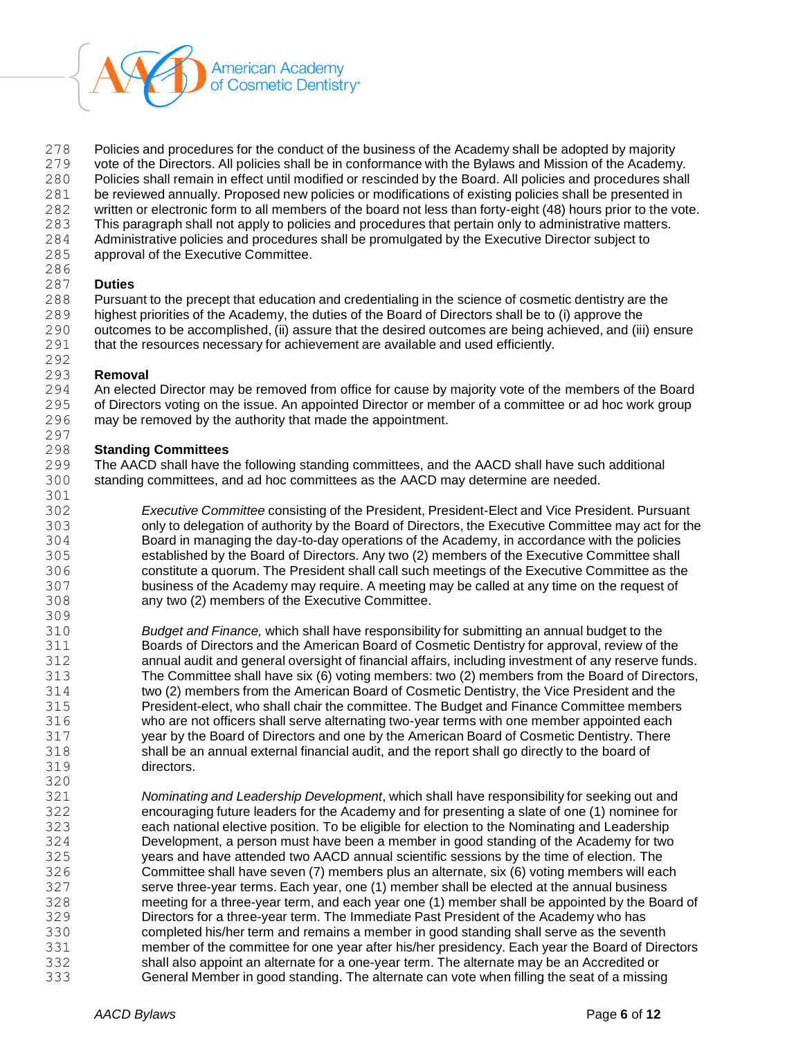

Policies and procedures for the conduct of the business of the Academy shall be adopted by majority

vote of the Directors. All policies shall be in conformance with the Bylaws and Mission of the Academy.

Policies shall remain in effect until modified or rescinded by the Board. All policies and procedures shall

- be reviewed annually. Proposed new policies or modifications of existing policies shall be presented in
- written or electronic form to all members of the board not less than forty-eight (48) hours prior to the vote.
- This paragraph shall not apply to policies and procedures that pertain only to administrative matters. Administrative policies and procedures shall be promulgated by the Executive Director subject to
- approval of the Executive Committee.
- 

# **Duties**

Pursuant to the precept that education and credentialing in the science of cosmetic dentistry are the

- highest priorities of the Academy, the duties of the Board of Directors shall be to (i) approve the 290 outcomes to be accomplished, (ii) assure that the desired outcomes are being achieved, and (iii) ensure
- that the resources necessary for achievement are available and used efficiently.

#### **Removal**

 An elected Director may be removed from office for cause by majority vote of the members of the Board of Directors voting on the issue. An appointed Director or member of a committee or ad hoc work group may be removed by the authority that made the appointment.

# **Standing Committees**

 The AACD shall have the following standing committees, and the AACD shall have such additional standing committees, and ad hoc committees as the AACD may determine are needed. 

 *Executive Committee* consisting of the President, President-Elect and Vice President. Pursuant only to delegation of authority by the Board of Directors, the Executive Committee may act for the Board in managing the day-to-day operations of the Academy, in accordance with the policies established by the Board of Directors. Any two (2) members of the Executive Committee shall constitute a quorum. The President shall call such meetings of the Executive Committee as the business of the Academy may require. A meeting may be called at any time on the request of any two (2) members of the Executive Committee.

- *Budget and Finance,* which shall have responsibility for submitting an annual budget to the Boards of Directors and the American Board of Cosmetic Dentistry for approval, review of the annual audit and general oversight of financial affairs, including investment of any reserve funds. The Committee shall have six (6) voting members: two (2) members from the Board of Directors, two (2) members from the American Board of Cosmetic Dentistry, the Vice President and the President-elect, who shall chair the committee. The Budget and Finance Committee members who are not officers shall serve alternating two-year terms with one member appointed each year by the Board of Directors and one by the American Board of Cosmetic Dentistry. There shall be an annual external financial audit, and the report shall go directly to the board of directors.
- *Nominating and Leadership Development*, which shall have responsibility for seeking out and encouraging future leaders for the Academy and for presenting a slate of one (1) nominee for each national elective position. To be eligible for election to the Nominating and Leadership Development, a person must have been a member in good standing of the Academy for two years and have attended two AACD annual scientific sessions by the time of election. The Committee shall have seven (7) members plus an alternate, six (6) voting members will each serve three-year terms. Each year, one (1) member shall be elected at the annual business meeting for a three-year term, and each year one (1) member shall be appointed by the Board of Directors for a three-year term. The Immediate Past President of the Academy who has completed his/her term and remains a member in good standing shall serve as the seventh member of the committee for one year after his/her presidency. Each year the Board of Directors shall also appoint an alternate for a one-year term. The alternate may be an Accredited or General Member in good standing. The alternate can vote when filling the seat of a missing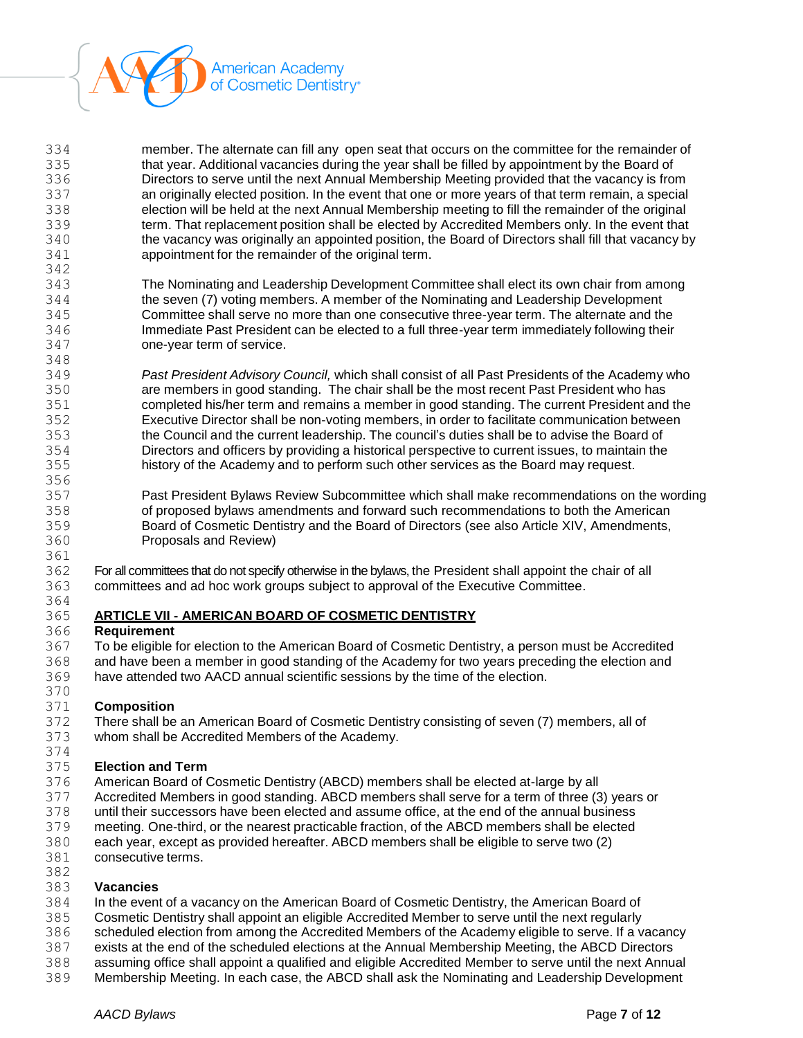

| 334 | member. The alternate can fill any open seat that occurs on the committee for the remainder of      |
|-----|-----------------------------------------------------------------------------------------------------|
| 335 | that year. Additional vacancies during the year shall be filled by appointment by the Board of      |
| 336 | Directors to serve until the next Annual Membership Meeting provided that the vacancy is from       |
| 337 | an originally elected position. In the event that one or more years of that term remain, a special  |
| 338 | election will be held at the next Annual Membership meeting to fill the remainder of the original   |
| 339 | term. That replacement position shall be elected by Accredited Members only. In the event that      |
| 340 | the vacancy was originally an appointed position, the Board of Directors shall fill that vacancy by |
| 341 | appointment for the remainder of the original term.                                                 |
| 342 |                                                                                                     |

 The Nominating and Leadership Development Committee shall elect its own chair from among the seven (7) voting members. A member of the Nominating and Leadership Development Committee shall serve no more than one consecutive three-year term. The alternate and the Immediate Past President can be elected to a full three-year term immediately following their one-year term of service. 

 *Past President Advisory Council,* which shall consist of all Past Presidents of the Academy who are members in good standing. The chair shall be the most recent Past President who has completed his/her term and remains a member in good standing. The current President and the Executive Director shall be non-voting members, in order to facilitate communication between the Council and the current leadership. The council's duties shall be to advise the Board of Directors and officers by providing a historical perspective to current issues, to maintain the history of the Academy and to perform such other services as the Board may request.

 Past President Bylaws Review Subcommittee which shall make recommendations on the wording of proposed bylaws amendments and forward such recommendations to both the American Board of Cosmetic Dentistry and the Board of Directors (see also Article XIV, Amendments, Proposals and Review)

 For all committees that do not specify otherwise in the bylaws, the President shall appoint the chair of all committees and ad hoc work groups subject to approval of the Executive Committee.

### **ARTICLE VII - AMERICAN BOARD OF COSMETIC DENTISTRY**

### **Requirement**

 To be eligible for election to the American Board of Cosmetic Dentistry, a person must be Accredited and have been a member in good standing of the Academy for two years preceding the election and have attended two AACD annual scientific sessions by the time of the election.

#### **Composition**

 There shall be an American Board of Cosmetic Dentistry consisting of seven (7) members, all of whom shall be Accredited Members of the Academy.

#### **Election and Term**

- American Board of Cosmetic Dentistry (ABCD) members shall be elected at-large by all
- Accredited Members in good standing. ABCD members shall serve for a term of three (3) years or
- until their successors have been elected and assume office, at the end of the annual business
- meeting. One-third, or the nearest practicable fraction, of the ABCD members shall be elected
- each year, except as provided hereafter. ABCD members shall be eligible to serve two (2)
- consecutive terms.

### **Vacancies**

- In the event of a vacancy on the American Board of Cosmetic Dentistry, the American Board of
- Cosmetic Dentistry shall appoint an eligible Accredited Member to serve until the next regularly
- scheduled election from among the Accredited Members of the Academy eligible to serve. If a vacancy
- exists at the end of the scheduled elections at the Annual Membership Meeting, the ABCD Directors
- assuming office shall appoint a qualified and eligible Accredited Member to serve until the next Annual
- Membership Meeting. In each case, the ABCD shall ask the Nominating and Leadership Development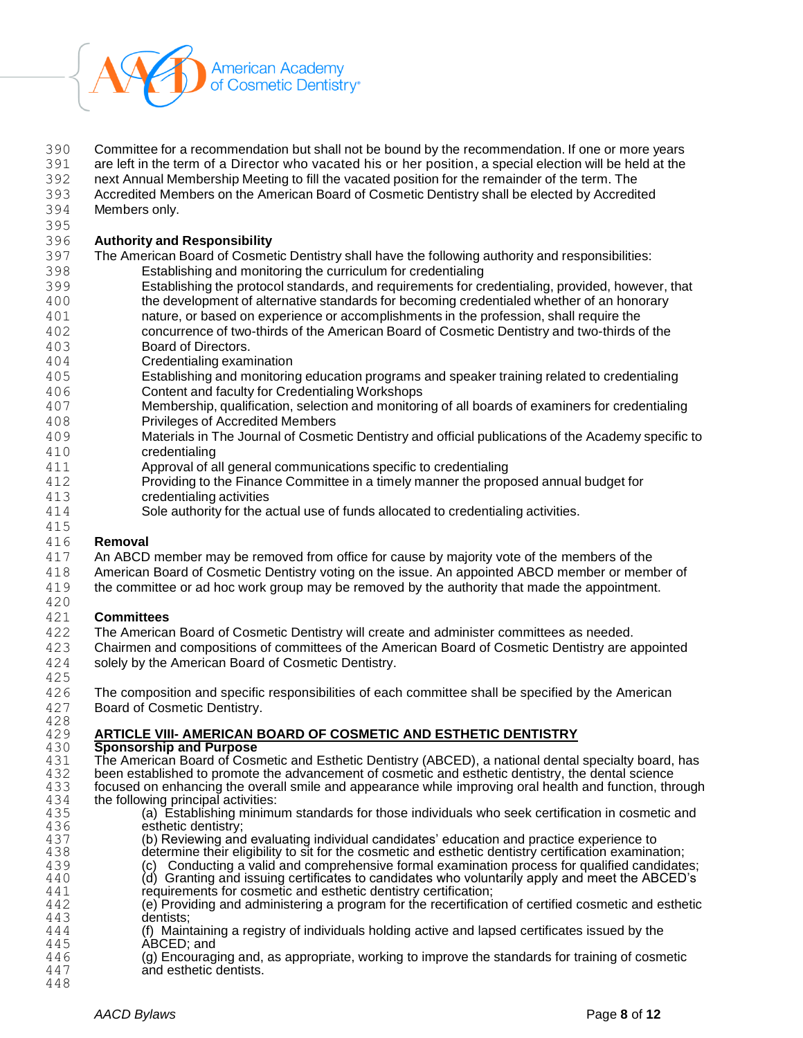

Committee for a recommendation but shall not be bound by the recommendation. If one or more years

are left in the term of a Director who vacated his or her position, a special election will be held at the

- next Annual Membership Meeting to fill the vacated position for the remainder of the term. The
- Accredited Members on the American Board of Cosmetic Dentistry shall be elected by Accredited Members only.
- 

### **Authority and Responsibility**

- The American Board of Cosmetic Dentistry shall have the following authority and responsibilities:
- Establishing and monitoring the curriculum for credentialing
- Establishing the protocol standards, and requirements for credentialing, provided, however, that the development of alternative standards for becoming credentialed whether of an honorary
- nature, or based on experience or accomplishments in the profession, shall require the concurrence of two-thirds of the American Board of Cosmetic Dentistry and two-thirds of the Board of Directors.
- 
- Credentialing examination
- Establishing and monitoring education programs and speaker training related to credentialing Content and faculty for Credentialing Workshops
- Membership, qualification, selection and monitoring of all boards of examiners for credentialing Privileges of Accredited Members
- Materials in The Journal of Cosmetic Dentistry and official publications of the Academy specific to credentialing
- Approval of all general communications specific to credentialing
- Providing to the Finance Committee in a timely manner the proposed annual budget for credentialing activities
- Sole authority for the actual use of funds allocated to credentialing activities.

### **Removal**

- An ABCD member may be removed from office for cause by majority vote of the members of the
- American Board of Cosmetic Dentistry voting on the issue. An appointed ABCD member or member of
- the committee or ad hoc work group may be removed by the authority that made the appointment.

### **Committees**

- The American Board of Cosmetic Dentistry will create and administer committees as needed.
- 423 Chairmen and compositions of committees of the American Board of Cosmetic Dentistry are appointed<br>424 solely by the American Board of Cosmetic Dentistry. solely by the American Board of Cosmetic Dentistry.
- The composition and specific responsibilities of each committee shall be specified by the American
- Board of Cosmetic Dentistry.

# **ARTICLE VIII- AMERICAN BOARD OF COSMETIC AND ESTHETIC DENTISTRY**

- **Sponsorship and Purpose** 431 The American Board of Cosmetic and Esthetic Dentistry (ABCED), a national dental specialty board, has 432 been established to promote the advancement of cosmetic and esthetic dentistry, the dental science 432 been established to promote the advancement of cosmetic and esthetic dentistry, the dental science 433 focused on enhancing the overall smile and appearance while improving oral health and function, three 433 focused on enhancing the overall smile and appearance while improving oral health and function, through 434 the following principal activities: 434 the following principal activities:<br>435 (a) Establishing minimu
- (a) Establishing minimum standards for those individuals who seek certification in cosmetic and 436 esthetic dentistry;<br>437 (b) Reviewing and
	- (b) Reviewing and evaluating individual candidates' education and practice experience to
- 438 determine their eligibility to sit for the cosmetic and esthetic dentistry certification examination;<br>439 (c) Conducting a valid and comprehensive formal examination process for qualified candidate
- 439 (c) Conducting a valid and comprehensive formal examination process for qualified candidates;<br>440 (d) Granting and issuing certificates to candidates who voluntarily apply and meet the ABCED's (d) Granting and issuing certificates to candidates who voluntarily apply and meet the ABCED's
- requirements for cosmetic and esthetic dentistry certification;
- 442 (e) Providing and administering a program for the recertification of certified cosmetic and esthetic 443 dentists:
- 444 (f) Maintaining a registry of individuals holding active and lapsed certificates issued by the 445 445 **ABCED**; and<br>446 (g) Encourage
- (g) Encouraging and, as appropriate, working to improve the standards for training of cosmetic and esthetic dentists.
-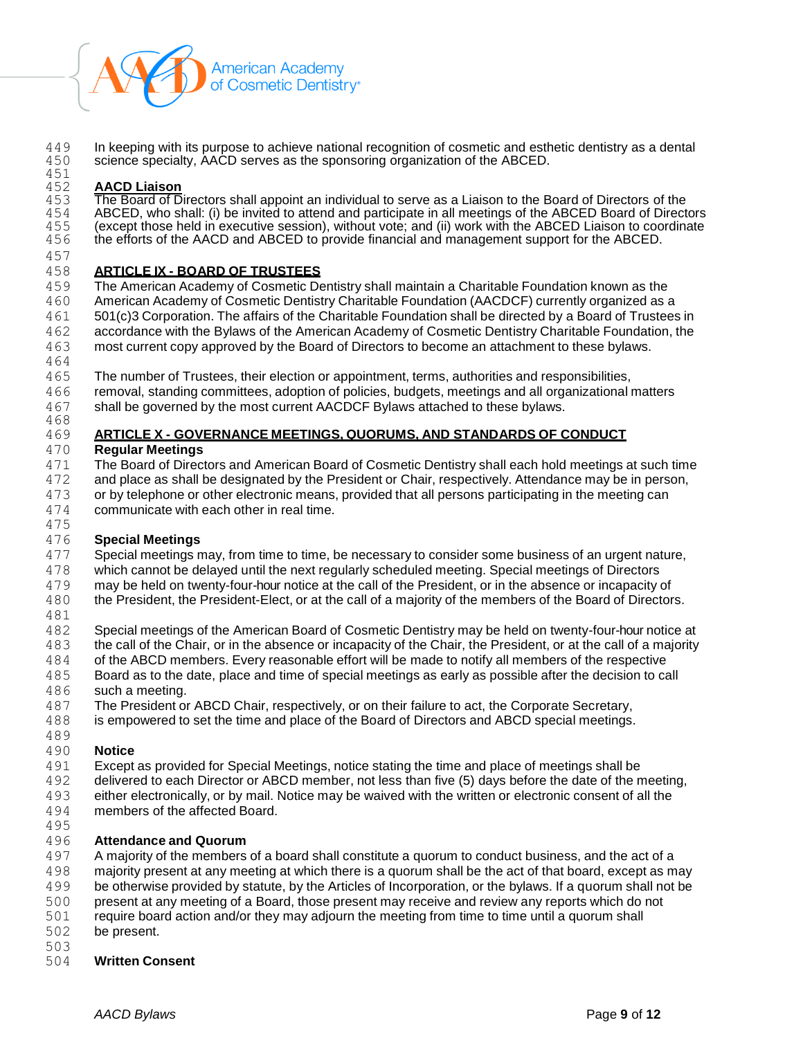

449 In keeping with its purpose to achieve national recognition of cosmetic and esthetic dentistry as a dental<br>450 science specialty, AACD serves as the sponsoring organization of the ABCED. science specialty, AACD serves as the sponsoring organization of the ABCED.

#### 451<br>452 **AACD Liaison**

453 The Board of Directors shall appoint an individual to serve as a Liaison to the Board of Directors of the 454 ABCED, who shall: (i) be invited to attend and participate in all meetings of the ABCED Board of Directors<br>455 (except those held in executive session), without vote; and (ii) work with the ABCED Liaison to coordinate 455 (except those held in executive session), without vote; and (ii) work with the ABCED Liaison to coordinate<br>456 the efforts of the AACD and ABCED to provide financial and management support for the ABCED. the efforts of the AACD and ABCED to provide financial and management support for the ABCED.

#### **ARTICLE IX - BOARD OF TRUSTEES**

 The American Academy of Cosmetic Dentistry shall maintain a Charitable Foundation known as the American Academy of Cosmetic Dentistry Charitable Foundation (AACDCF) currently organized as a 501(c)3 Corporation. The affairs of the Charitable Foundation shall be directed by a Board of Trustees in accordance with the Bylaws of the American Academy of Cosmetic Dentistry Charitable Foundation, the most current copy approved by the Board of Directors to become an attachment to these bylaws.

The number of Trustees, their election or appointment, terms, authorities and responsibilities,

 removal, standing committees, adoption of policies, budgets, meetings and all organizational matters shall be governed by the most current AACDCF Bylaws attached to these bylaws.

### **ARTICLE X - GOVERNANCE MEETINGS, QUORUMS, AND STANDARDS OF CONDUCT**

### **Regular Meetings**

 The Board of Directors and American Board of Cosmetic Dentistry shall each hold meetings at such time and place as shall be designated by the President or Chair, respectively. Attendance may be in person, or by telephone or other electronic means, provided that all persons participating in the meeting can communicate with each other in real time.

### **Special Meetings**

Special meetings may, from time to time, be necessary to consider some business of an urgent nature,

which cannot be delayed until the next regularly scheduled meeting. Special meetings of Directors

 may be held on twenty-four-hour notice at the call of the President, or in the absence or incapacity of the President, the President-Elect, or at the call of a majority of the members of the Board of Directors.

Special meetings of the American Board of Cosmetic Dentistry may be held on twenty-four-hour notice at

the call of the Chair, or in the absence or incapacity of the Chair, the President, or at the call of a majority

- of the ABCD members. Every reasonable effort will be made to notify all members of the respective
- Board as to the date, place and time of special meetings as early as possible after the decision to call such a meeting.
- The President or ABCD Chair, respectively, or on their failure to act, the Corporate Secretary,
- is empowered to set the time and place of the Board of Directors and ABCD special meetings.

# **Notice**

- Except as provided for Special Meetings, notice stating the time and place of meetings shall be
- delivered to each Director or ABCD member, not less than five (5) days before the date of the meeting,
- either electronically, or by mail. Notice may be waived with the written or electronic consent of all the
- members of the affected Board.

# **Attendance and Quorum**

497 A majority of the members of a board shall constitute a quorum to conduct business, and the act of a majority present at any meeting at which there is a quorum shall be the act of that board, except as may be otherwise provided by statute, by the Articles of Incorporation, or the bylaws. If a quorum shall not be present at any meeting of a Board, those present may receive and review any reports which do not

- require board action and/or they may adjourn the meeting from time to time until a quorum shall
- be present.

#### **Written Consent**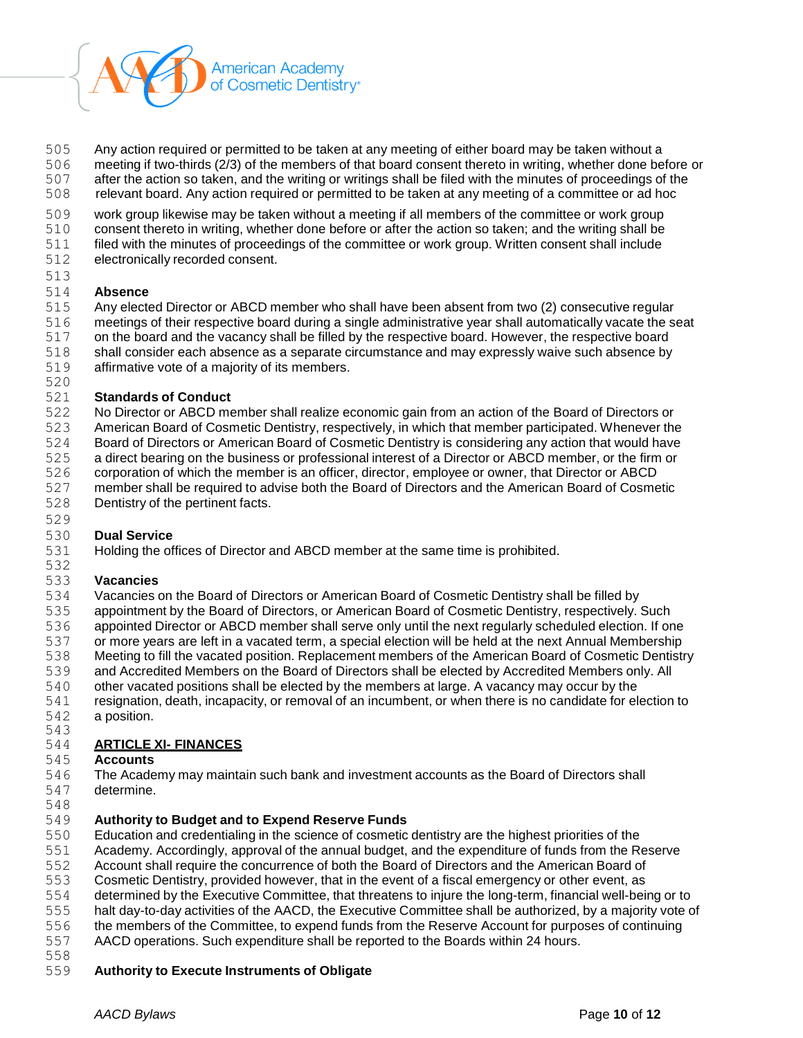

- Any action required or permitted to be taken at any meeting of either board may be taken without a
- meeting if two-thirds (2/3) of the members of that board consent thereto in writing, whether done before or
- after the action so taken, and the writing or writings shall be filed with the minutes of proceedings of the
- relevant board. Any action required or permitted to be taken at any meeting of a committee or ad hoc
- work group likewise may be taken without a meeting if all members of the committee or work group
- consent thereto in writing, whether done before or after the action so taken; and the writing shall be
- filed with the minutes of proceedings of the committee or work group. Written consent shall include
- electronically recorded consent.

# **Absence**

- Any elected Director or ABCD member who shall have been absent from two (2) consecutive regular
- meetings of their respective board during a single administrative year shall automatically vacate the seat
- on the board and the vacancy shall be filled by the respective board. However, the respective board
- 518 shall consider each absence as a separate circumstance and may expressly waive such absence by
- affirmative vote of a majority of its members.
- 

## **Standards of Conduct**

- No Director or ABCD member shall realize economic gain from an action of the Board of Directors or
- American Board of Cosmetic Dentistry, respectively, in which that member participated. Whenever the
- Board of Directors or American Board of Cosmetic Dentistry is considering any action that would have
- a direct bearing on the business or professional interest of a Director or ABCD member, or the firm or
- corporation of which the member is an officer, director, employee or owner, that Director or ABCD member shall be required to advise both the Board of Directors and the American Board of Cosmetic
- Dentistry of the pertinent facts.

### **Dual Service**

Holding the offices of Director and ABCD member at the same time is prohibited.

### **Vacancies**

- Vacancies on the Board of Directors or American Board of Cosmetic Dentistry shall be filled by appointment by the Board of Directors, or American Board of Cosmetic Dentistry, respectively. Such
- appointed Director or ABCD member shall serve only until the next regularly scheduled election. If one or more years are left in a vacated term, a special election will be held at the next Annual Membership
- Meeting to fill the vacated position. Replacement members of the American Board of Cosmetic Dentistry
- and Accredited Members on the Board of Directors shall be elected by Accredited Members only. All
- other vacated positions shall be elected by the members at large. A vacancy may occur by the
- resignation, death, incapacity, or removal of an incumbent, or when there is no candidate for election to a position.
- 

# **ARTICLE XI- FINANCES**

### **Accounts**

- The Academy may maintain such bank and investment accounts as the Board of Directors shall determine.
- 

### **Authority to Budget and to Expend Reserve Funds**

- Education and credentialing in the science of cosmetic dentistry are the highest priorities of the
- Academy. Accordingly, approval of the annual budget, and the expenditure of funds from the Reserve
- Account shall require the concurrence of both the Board of Directors and the American Board of
- Cosmetic Dentistry, provided however, that in the event of a fiscal emergency or other event, as
- determined by the Executive Committee, that threatens to injure the long-term, financial well-being or to
- halt day-to-day activities of the AACD, the Executive Committee shall be authorized, by a majority vote of
- the members of the Committee, to expend funds from the Reserve Account for purposes of continuing
- AACD operations. Such expenditure shall be reported to the Boards within 24 hours.
- 

# **Authority to Execute Instruments of Obligate**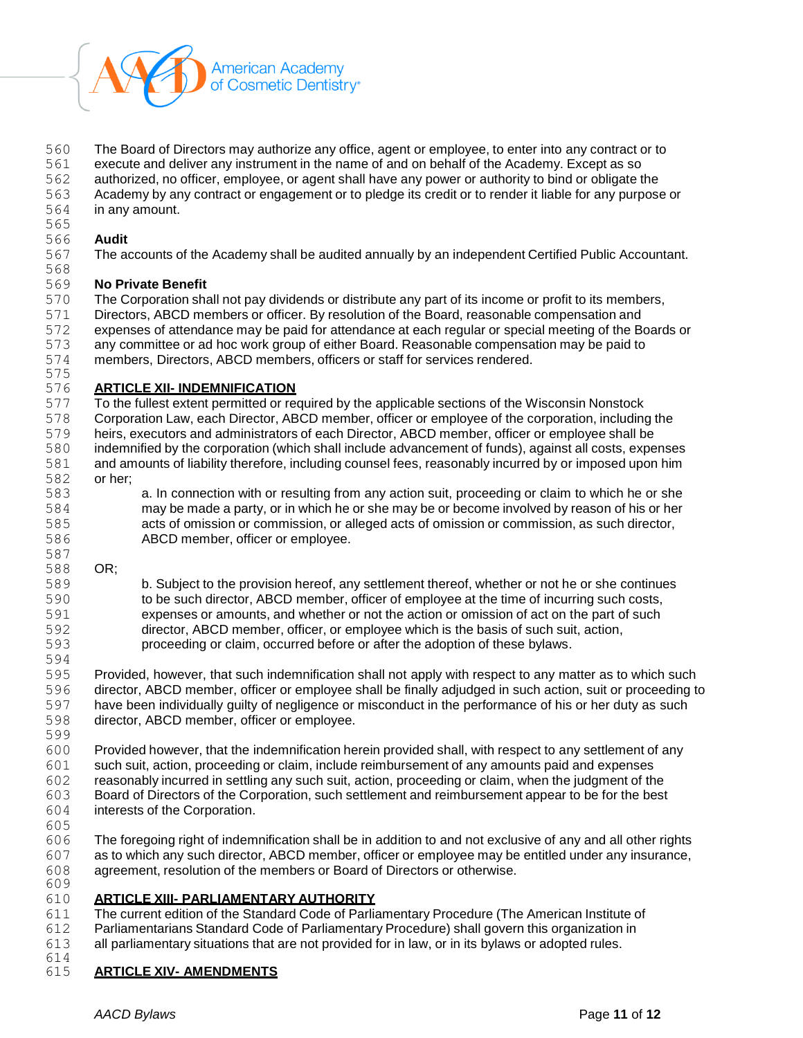

The Board of Directors may authorize any office, agent or employee, to enter into any contract or to

execute and deliver any instrument in the name of and on behalf of the Academy. Except as so

authorized, no officer, employee, or agent shall have any power or authority to bind or obligate the

- Academy by any contract or engagement or to pledge its credit or to render it liable for any purpose or
- in any amount.

#### **Audit**

The accounts of the Academy shall be audited annually by an independent Certified Public Accountant.

#### **No Private Benefit**

 The Corporation shall not pay dividends or distribute any part of its income or profit to its members, Directors, ABCD members or officer. By resolution of the Board, reasonable compensation and expenses of attendance may be paid for attendance at each regular or special meeting of the Boards or any committee or ad hoc work group of either Board. Reasonable compensation may be paid to members, Directors, ABCD members, officers or staff for services rendered.

#### 575<br>576 **ARTICLE XII- INDEMNIFICATION**

 To the fullest extent permitted or required by the applicable sections of the Wisconsin Nonstock Corporation Law, each Director, ABCD member, officer or employee of the corporation, including the heirs, executors and administrators of each Director, ABCD member, officer or employee shall be indemnified by the corporation (which shall include advancement of funds), against all costs, expenses and amounts of liability therefore, including counsel fees, reasonably incurred by or imposed upon him or her;

 a. In connection with or resulting from any action suit, proceeding or claim to which he or she may be made a party, or in which he or she may be or become involved by reason of his or her acts of omission or commission, or alleged acts of omission or commission, as such director, ABCD member, officer or employee. 

### OR;

 b. Subject to the provision hereof, any settlement thereof, whether or not he or she continues to be such director, ABCD member, officer of employee at the time of incurring such costs, expenses or amounts, and whether or not the action or omission of act on the part of such director, ABCD member, officer, or employee which is the basis of such suit, action, proceeding or claim, occurred before or after the adoption of these bylaws.

 Provided, however, that such indemnification shall not apply with respect to any matter as to which such director, ABCD member, officer or employee shall be finally adjudged in such action, suit or proceeding to have been individually guilty of negligence or misconduct in the performance of his or her duty as such director, ABCD member, officer or employee.

Provided however, that the indemnification herein provided shall, with respect to any settlement of any

- such suit, action, proceeding or claim, include reimbursement of any amounts paid and expenses reasonably incurred in settling any such suit, action, proceeding or claim, when the judgment of the
- Board of Directors of the Corporation, such settlement and reimbursement appear to be for the best
- interests of the Corporation.
- 

 The foregoing right of indemnification shall be in addition to and not exclusive of any and all other rights as to which any such director, ABCD member, officer or employee may be entitled under any insurance, agreement, resolution of the members or Board of Directors or otherwise. 

### **ARTICLE XIII- PARLIAMENTARY AUTHORITY**

 The current edition of the Standard Code of Parliamentary Procedure (The American Institute of Parliamentarians Standard Code of Parliamentary Procedure) shall govern this organization in

all parliamentary situations that are not provided for in law, or in its bylaws or adopted rules.

#### **ARTICLE XIV- AMENDMENTS**